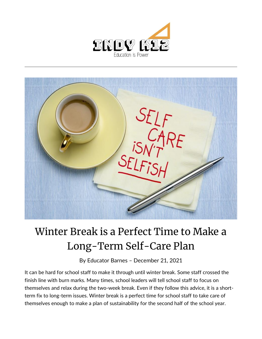



## Winter Break is a Perfect Time to Make a Long-Term Self-Care Plan

By [Educator Barnes](https://indy.education/author/shicole/) – December 21, 2021

It can be hard for school staff to make it through until winter break. Some staff crossed the finish line with burn marks. Many times, school leaders will tell school staff to focus on themselves and relax during the two-week break. Even if they follow this advice, it is a shortterm fix to long-term issues. Winter break is a perfect time for school staff to take care of themselves enough to make a plan of sustainability for the second half of the school year.